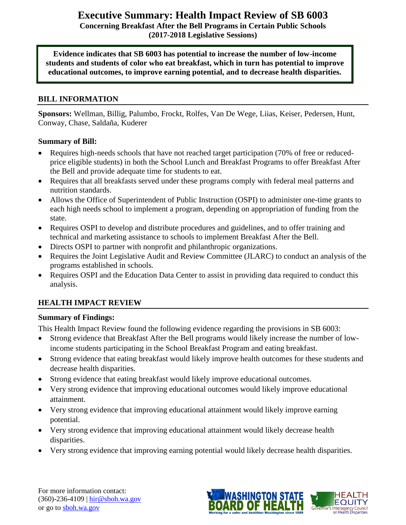# **Executive Summary: Health Impact Review of SB 6003**

**Concerning Breakfast After the Bell Programs in Certain Public Schools (2017-2018 Legislative Sessions)**

**Evidence indicates that SB 6003 has potential to increase the number of low-income students and students of color who eat breakfast, which in turn has potential to improve educational outcomes, to improve earning potential, and to decrease health disparities.**

# **BILL INFORMATION**

**Sponsors:** Wellman, Billig, Palumbo, Frockt, Rolfes, Van De Wege, Liias, Keiser, Pedersen, Hunt, Conway, Chase, Saldaña, Kuderer

#### **Summary of Bill:**

- Requires high-needs schools that have not reached target participation (70% of free or reducedprice eligible students) in both the School Lunch and Breakfast Programs to offer Breakfast After the Bell and provide adequate time for students to eat.
- Requires that all breakfasts served under these programs comply with federal meal patterns and nutrition standards.
- Allows the Office of Superintendent of Public Instruction (OSPI) to administer one-time grants to each high needs school to implement a program, depending on appropriation of funding from the state.
- Requires OSPI to develop and distribute procedures and guidelines, and to offer training and technical and marketing assistance to schools to implement Breakfast After the Bell.
- Directs OSPI to partner with nonprofit and philanthropic organizations.
- Requires the Joint Legislative Audit and Review Committee (JLARC) to conduct an analysis of the programs established in schools.
- Requires OSPI and the Education Data Center to assist in providing data required to conduct this analysis.

# **HEALTH IMPACT REVIEW**

#### **Summary of Findings:**

This Health Impact Review found the following evidence regarding the provisions in SB 6003:

- Strong evidence that Breakfast After the Bell programs would likely increase the number of lowincome students participating in the School Breakfast Program and eating breakfast.
- Strong evidence that eating breakfast would likely improve health outcomes for these students and decrease health disparities.
- Strong evidence that eating breakfast would likely improve educational outcomes.
- Very strong evidence that improving educational outcomes would likely improve educational attainment.
- Very strong evidence that improving educational attainment would likely improve earning potential.
- Very strong evidence that improving educational attainment would likely decrease health disparities.
- Very strong evidence that improving earning potential would likely decrease health disparities.

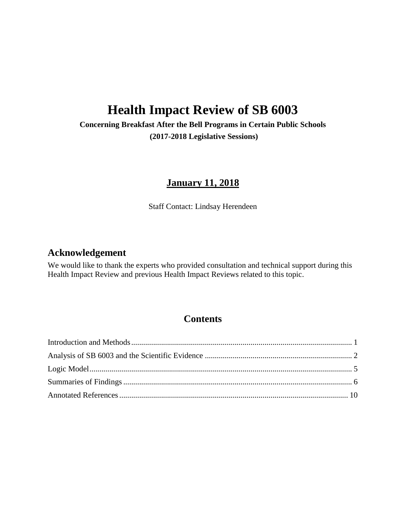# **Health Impact Review of SB 6003**

**Concerning Breakfast After the Bell Programs in Certain Public Schools (2017-2018 Legislative Sessions)**

# **January 11, 2018**

Staff Contact: Lindsay Herendeen

# **Acknowledgement**

We would like to thank the experts who provided consultation and technical support during this Health Impact Review and previous Health Impact Reviews related to this topic.

# **Contents**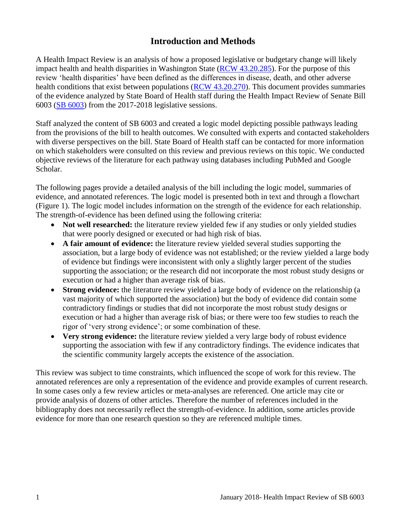# **Introduction and Methods**

<span id="page-2-0"></span>A Health Impact Review is an analysis of how a proposed legislative or budgetary change will likely impact health and health disparities in Washington State [\(RCW 43.20.285\)](http://apps.leg.wa.gov/rcw/default.aspx?cite=43.20.285). For the purpose of this review 'health disparities' have been defined as the differences in disease, death, and other adverse health conditions that exist between populations [\(RCW 43.20.270\)](http://apps.leg.wa.gov/rcw/default.aspx?cite=43.20.270). This document provides summaries of the evidence analyzed by State Board of Health staff during the Health Impact Review of Senate Bill 6003 [\(SB](http://app.leg.wa.gov/billsummary?BillNumber=1508&Year=2017) [6003\)](http://app.leg.wa.gov/billsummary?BillNumber=6003&Year=2017) from the 2017-2018 legislative sessions.

Staff analyzed the content of SB 6003 and created a logic model depicting possible pathways leading from the provisions of the bill to health outcomes. We consulted with experts and contacted stakeholders with diverse perspectives on the bill. State Board of Health staff can be contacted for more information on which stakeholders were consulted on this review and previous reviews on this topic. We conducted objective reviews of the literature for each pathway using databases including PubMed and Google Scholar.

The following pages provide a detailed analysis of the bill including the logic model, summaries of evidence, and annotated references. The logic model is presented both in text and through a flowchart (Figure 1). The logic model includes information on the strength of the evidence for each relationship. The strength-of-evidence has been defined using the following criteria:

- Not well researched: the literature review yielded few if any studies or only yielded studies that were poorly designed or executed or had high risk of bias.
- **A fair amount of evidence:** the literature review yielded several studies supporting the association, but a large body of evidence was not established; or the review yielded a large body of evidence but findings were inconsistent with only a slightly larger percent of the studies supporting the association; or the research did not incorporate the most robust study designs or execution or had a higher than average risk of bias.
- **Strong evidence:** the literature review yielded a large body of evidence on the relationship (a vast majority of which supported the association) but the body of evidence did contain some contradictory findings or studies that did not incorporate the most robust study designs or execution or had a higher than average risk of bias; or there were too few studies to reach the rigor of 'very strong evidence'; or some combination of these.
- **Very strong evidence:** the literature review yielded a very large body of robust evidence supporting the association with few if any contradictory findings. The evidence indicates that the scientific community largely accepts the existence of the association.

This review was subject to time constraints, which influenced the scope of work for this review. The annotated references are only a representation of the evidence and provide examples of current research. In some cases only a few review articles or meta-analyses are referenced. One article may cite or provide analysis of dozens of other articles. Therefore the number of references included in the bibliography does not necessarily reflect the strength-of-evidence. In addition, some articles provide evidence for more than one research question so they are referenced multiple times.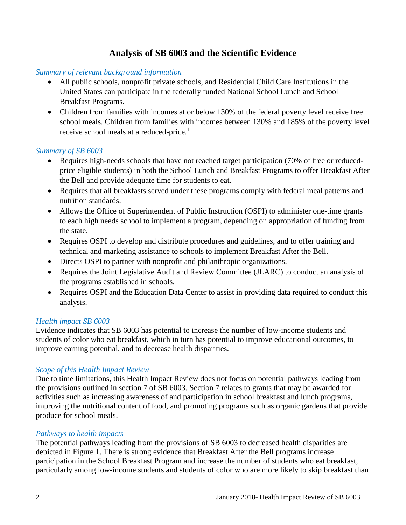# **Analysis of SB 6003 and the Scientific Evidence**

#### <span id="page-3-0"></span>*Summary of relevant background information*

- All public schools, nonprofit private schools, and Residential Child Care Institutions in the United States can participate in the federally funded National School Lunch and School Breakfast Programs.<sup>1</sup>
- Children from families with incomes at or below 130% of the federal poverty level receive free school meals. Children from families with incomes between 130% and 185% of the poverty level receive school meals at a reduced-price.<sup>1</sup>

#### *Summary of SB 6003*

- Requires high-needs schools that have not reached target participation (70% of free or reducedprice eligible students) in both the School Lunch and Breakfast Programs to offer Breakfast After the Bell and provide adequate time for students to eat.
- Requires that all breakfasts served under these programs comply with federal meal patterns and nutrition standards.
- Allows the Office of Superintendent of Public Instruction (OSPI) to administer one-time grants to each high needs school to implement a program, depending on appropriation of funding from the state.
- Requires OSPI to develop and distribute procedures and guidelines, and to offer training and technical and marketing assistance to schools to implement Breakfast After the Bell.
- Directs OSPI to partner with nonprofit and philanthropic organizations.
- Requires the Joint Legislative Audit and Review Committee (JLARC) to conduct an analysis of the programs established in schools.
- Requires OSPI and the Education Data Center to assist in providing data required to conduct this analysis.

#### *Health impact SB 6003*

Evidence indicates that SB 6003 has potential to increase the number of low-income students and students of color who eat breakfast, which in turn has potential to improve educational outcomes, to improve earning potential, and to decrease health disparities.

#### *Scope of this Health Impact Review*

Due to time limitations, this Health Impact Review does not focus on potential pathways leading from the provisions outlined in section 7 of SB 6003. Section 7 relates to grants that may be awarded for activities such as increasing awareness of and participation in school breakfast and lunch programs, improving the nutritional content of food, and promoting programs such as organic gardens that provide produce for school meals.

#### *Pathways to health impacts*

The potential pathways leading from the provisions of SB 6003 to decreased health disparities are depicted in Figure 1. There is strong evidence that Breakfast After the Bell programs increase participation in the School Breakfast Program and increase the number of students who eat breakfast, particularly among low-income students and students of color who are more likely to skip breakfast than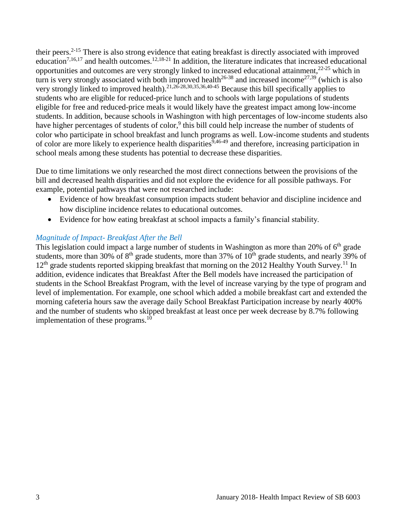their peers.2-15 There is also strong evidence that eating breakfast is directly associated with improved education<sup>[7,](#page-11-0)[16,](#page-14-0)[17](#page-15-0)</sup> and health outcomes.<sup>[12,](#page-13-0)[18-21](#page-15-1)</sup> In addition, the literature indicates that increased educational opportunities and outcomes are very strongly linked to increased educational attainment,  $2^{2-25}$  which in turn is very strongly associated with both improved health<sup>26-38</sup> and increased income<sup>[27](#page-18-0)[,39](#page-20-0)</sup> (which is also very strongly linked to improved health).<sup>[21,](#page-16-0)[26-28](#page-18-1)[,30](#page-19-0)[,35](#page-19-1)[,36](#page-20-1)[,40-45](#page-21-0)</sup> Because this bill specifically applies to students who are eligible for reduced-price lunch and to schools with large populations of students eligible for free and reduced-price meals it would likely have the greatest impact among low-income students. In addition, because schools in Washington with high percentages of low-income students also have higher percentages of students of color,<sup>9</sup> this bill could help increase the number of students of color who participate in school breakfast and lunch programs as well. Low-income students and students of color are more likely to experience health disparities  $9,46-49$  $9,46-49$  and therefore, increasing participation in school meals among these students has potential to decrease these disparities.

Due to time limitations we only researched the most direct connections between the provisions of the bill and decreased health disparities and did not explore the evidence for all possible pathways. For example, potential pathways that were not researched include:

- Evidence of how breakfast consumption impacts student behavior and discipline incidence and how discipline incidence relates to educational outcomes.
- Evidence for how eating breakfast at school impacts a family's financial stability.

# *Magnitude of Impact- Breakfast After the Bell*

This legislation could impact a large number of students in Washington as more than 20% of  $6<sup>th</sup>$  grade students, more than 30% of  $8<sup>th</sup>$  grade students, more than 37% of  $10<sup>th</sup>$  grade students, and nearly 39% of  $12<sup>th</sup>$  grade students reported skipping breakfast that morning on the 2012 Healthy Youth Survey.<sup>11</sup> In addition, evidence indicates that Breakfast After the Bell models have increased the participation of students in the School Breakfast Program, with the level of increase varying by the type of program and level of implementation. For example, one school which added a mobile breakfast cart and extended the morning cafeteria hours saw the average daily School Breakfast Participation increase by nearly 400% and the number of students who skipped breakfast at least once per week decrease by 8.7% following implementation of these programs. $10$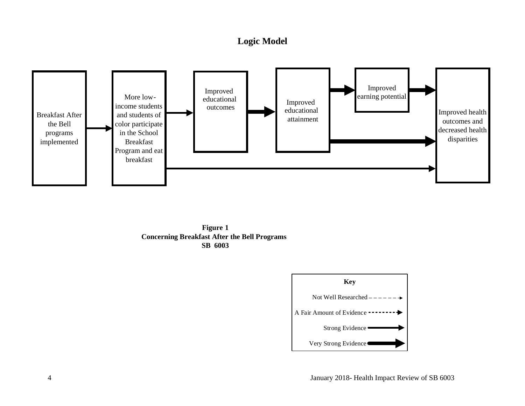# **Logic Model**

<span id="page-5-0"></span>



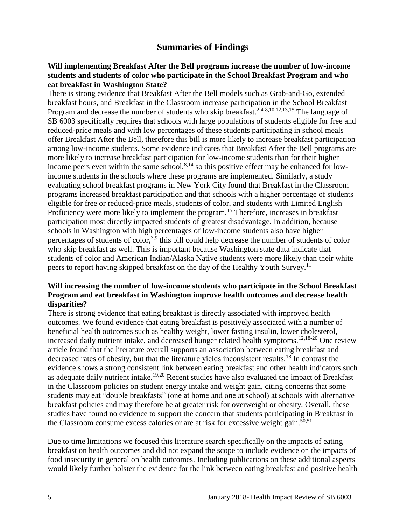# **Summaries of Findings**

#### <span id="page-6-0"></span>**Will implementing Breakfast After the Bell programs increase the number of low-income students and students of color who participate in the School Breakfast Program and who eat breakfast in Washington State?**

There is strong evidence that Breakfast After the Bell models such as Grab-and-Go, extended breakfast hours, and Breakfast in the Classroom increase participation in the School Breakfast Program and decrease the number of students who skip breakfast.<sup>[2](#page-9-0)[,4-8](#page-10-0)[,10](#page-12-1)[,12](#page-13-0)[,13](#page-13-1)[,15](#page-14-1)</sup> The language of SB 6003 specifically requires that schools with large populations of students eligible for free and reduced-price meals and with low percentages of these students participating in school meals offer Breakfast After the Bell, therefore this bill is more likely to increase breakfast participation among low-income students. Some evidence indicates that Breakfast After the Bell programs are more likely to increase breakfast participation for low-income students than for their higher income peers even within the same school,  $8,14$  $8,14$  so this positive effect may be enhanced for lowincome students in the schools where these programs are implemented. Similarly, a study evaluating school breakfast programs in New York City found that Breakfast in the Classroom programs increased breakfast participation and that schools with a higher percentage of students eligible for free or reduced-price meals, students of color, and students with Limited English Proficiency were more likely to implement the program.<sup>15</sup> Therefore, increases in breakfast participation most directly impacted students of greatest disadvantage. In addition, because schools in Washington with high percentages of low-income students also have higher percentages of students of color,<sup>[3,](#page-10-1)[9](#page-12-0)</sup> this bill could help decrease the number of students of color who skip breakfast as well. This is important because Washington state data indicate that students of color and American Indian/Alaska Native students were more likely than their white peers to report having skipped breakfast on the day of the Healthy Youth Survey.<sup>11</sup>

#### **Will increasing the number of low-income students who participate in the School Breakfast Program and eat breakfast in Washington improve health outcomes and decrease health disparities?**

There is strong evidence that eating breakfast is directly associated with improved health outcomes. We found evidence that eating breakfast is positively associated with a number of beneficial health outcomes such as healthy weight, lower fasting insulin, lower cholesterol, increased daily nutrient intake, and decreased hunger related health symptoms.<sup>[12](#page-13-0)[,18-20](#page-15-1)</sup> One review article found that the literature overall supports an association between eating breakfast and decreased rates of obesity, but that the literature yields inconsistent results.<sup>18</sup> In contrast the evidence shows a strong consistent link between eating breakfast and other health indicators such as adequate daily nutrient intake.<sup>[19,](#page-16-1)[20](#page-16-2)</sup> Recent studies have also evaluated the impact of Breakfast in the Classroom policies on student energy intake and weight gain, citing concerns that some students may eat "double breakfasts" (one at home and one at school) at schools with alternative breakfast policies and may therefore be at greater risk for overweight or obesity. Overall, these studies have found no evidence to support the concern that students participating in Breakfast in the Classroom consume excess calories or are at risk for excessive weight gain.<sup>[50,](#page-23-0)[51](#page-23-1)</sup>

Due to time limitations we focused this literature search specifically on the impacts of eating breakfast on health outcomes and did not expand the scope to include evidence on the impacts of food insecurity in general on health outcomes. Including publications on these additional aspects would likely further bolster the evidence for the link between eating breakfast and positive health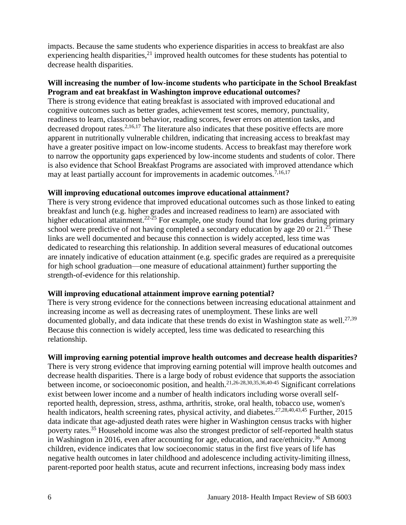impacts. Because the same students who experience disparities in access to breakfast are also experiencing health disparities,  $21$  improved health outcomes for these students has potential to decrease health disparities.

#### **Will increasing the number of low-income students who participate in the School Breakfast Program and eat breakfast in Washington improve educational outcomes?**

There is strong evidence that eating breakfast is associated with improved educational and cognitive outcomes such as better grades, achievement test scores, memory, punctuality, readiness to learn, classroom behavior, reading scores, fewer errors on attention tasks, and decreased dropout rates.<sup>[2,](#page-9-0)[16,](#page-14-0)[17](#page-15-0)</sup> The literature also indicates that these positive effects are more apparent in nutritionally vulnerable children, indicating that increasing access to breakfast may have a greater positive impact on low-income students. Access to breakfast may therefore work to narrow the opportunity gaps experienced by low-income students and students of color. There is also evidence that School Breakfast Programs are associated with improved attendance which may at least partially account for improvements in academic outcomes.<sup>[7,](#page-11-0)[16,](#page-14-0)[17](#page-15-0)</sup>

#### **Will improving educational outcomes improve educational attainment?**

There is very strong evidence that improved educational outcomes such as those linked to eating breakfast and lunch (e.g. higher grades and increased readiness to learn) are associated with higher educational attainment.<sup>22-25</sup> For example, one study found that low grades during primary school were predictive of not having completed a secondary education by age 20 or  $21.^{25}$  These links are well documented and because this connection is widely accepted, less time was dedicated to researching this relationship. In addition several measures of educational outcomes are innately indicative of education attainment (e.g. specific grades are required as a prerequisite for high school graduation—one measure of educational attainment) further supporting the strength-of-evidence for this relationship.

#### **Will improving educational attainment improve earning potential?**

There is very strong evidence for the connections between increasing educational attainment and increasing income as well as decreasing rates of unemployment. These links are well documented globally, and data indicate that these trends do exist in Washington state as well.<sup>[27](#page-18-0)[,39](#page-20-0)</sup> Because this connection is widely accepted, less time was dedicated to researching this relationship.

#### **Will improving earning potential improve health outcomes and decrease health disparities?**

There is very strong evidence that improving earning potential will improve health outcomes and decrease health disparities. There is a large body of robust evidence that supports the association between income, or socioeconomic position, and health.[21,](#page-16-0)[26-28](#page-18-1)[,30](#page-19-0)[,35](#page-19-1)[,36](#page-20-1)[,40-45](#page-21-0) Significant correlations exist between lower income and a number of health indicators including worse overall selfreported health, depression, stress, asthma, arthritis, stroke, oral health, tobacco use, women's health indicators, health screening rates, physical activity, and diabetes.<sup>[27](#page-18-0)[,28](#page-18-2)[,40](#page-21-0)[,43](#page-21-1)[,45](#page-22-1)</sup> Further, 2015 data indicate that age-adjusted death rates were higher in Washington census tracks with higher poverty rates.<sup>35</sup> Household income was also the strongest predictor of self-reported health status in Washington in 2016, even after accounting for age, education, and race/ethnicity.<sup>36</sup> Among children, evidence indicates that low socioeconomic status in the first five years of life has negative health outcomes in later childhood and adolescence including activity-limiting illness, parent-reported poor health status, acute and recurrent infections, increasing body mass index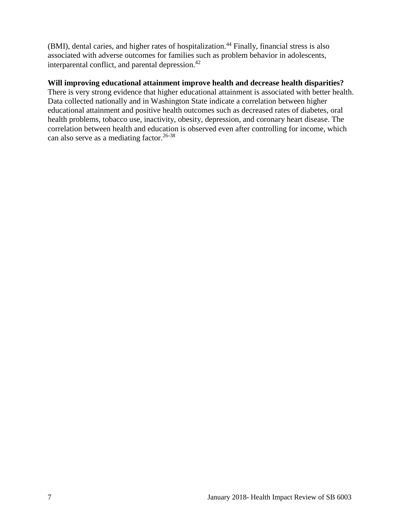(BMI), dental caries, and higher rates of hospitalization.<sup>44</sup> Finally, financial stress is also associated with adverse outcomes for families such as problem behavior in adolescents, interparental conflict, and parental depression.<sup>42</sup>

#### **Will improving educational attainment improve health and decrease health disparities?**

<span id="page-8-0"></span>There is very strong evidence that higher educational attainment is associated with better health. Data collected nationally and in Washington State indicate a correlation between higher educational attainment and positive health outcomes such as decreased rates of diabetes, oral health problems, tobacco use, inactivity, obesity, depression, and coronary heart disease. The correlation between health and education is observed even after controlling for income, which can also serve as a mediating factor.<sup>26-38</sup>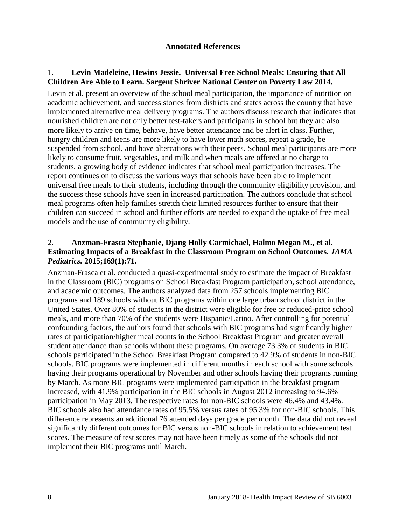#### **Annotated References**

### 1. **Levin Madeleine, Hewins Jessie. Universal Free School Meals: Ensuring that All Children Are Able to Learn. Sargent Shriver National Center on Poverty Law 2014.**

Levin et al. present an overview of the school meal participation, the importance of nutrition on academic achievement, and success stories from districts and states across the country that have implemented alternative meal delivery programs. The authors discuss research that indicates that nourished children are not only better test-takers and participants in school but they are also more likely to arrive on time, behave, have better attendance and be alert in class. Further, hungry children and teens are more likely to have lower math scores, repeat a grade, be suspended from school, and have altercations with their peers. School meal participants are more likely to consume fruit, vegetables, and milk and when meals are offered at no charge to students, a growing body of evidence indicates that school meal participation increases. The report continues on to discuss the various ways that schools have been able to implement universal free meals to their students, including through the community eligibility provision, and the success these schools have seen in increased participation. The authors conclude that school meal programs often help families stretch their limited resources further to ensure that their children can succeed in school and further efforts are needed to expand the uptake of free meal models and the use of community eligibility.

#### <span id="page-9-0"></span>2. **Anzman-Frasca Stephanie, Djang Holly Carmichael, Halmo Megan M., et al. Estimating Impacts of a Breakfast in the Classroom Program on School Outcomes.** *JAMA Pediatrics.* **2015;169(1):71.**

Anzman-Frasca et al. conducted a quasi-experimental study to estimate the impact of Breakfast in the Classroom (BIC) programs on School Breakfast Program participation, school attendance, and academic outcomes. The authors analyzed data from 257 schools implementing BIC programs and 189 schools without BIC programs within one large urban school district in the United States. Over 80% of students in the district were eligible for free or reduced-price school meals, and more than 70% of the students were Hispanic/Latino. After controlling for potential confounding factors, the authors found that schools with BIC programs had significantly higher rates of participation/higher meal counts in the School Breakfast Program and greater overall student attendance than schools without these programs. On average 73.3% of students in BIC schools participated in the School Breakfast Program compared to 42.9% of students in non-BIC schools. BIC programs were implemented in different months in each school with some schools having their programs operational by November and other schools having their programs running by March. As more BIC programs were implemented participation in the breakfast program increased, with 41.9% participation in the BIC schools in August 2012 increasing to 94.6% participation in May 2013. The respective rates for non-BIC schools were 46.4% and 43.4%. BIC schools also had attendance rates of 95.5% versus rates of 95.3% for non-BIC schools. This difference represents an additional 76 attended days per grade per month. The data did not reveal significantly different outcomes for BIC versus non-BIC schools in relation to achievement test scores. The measure of test scores may not have been timely as some of the schools did not implement their BIC programs until March.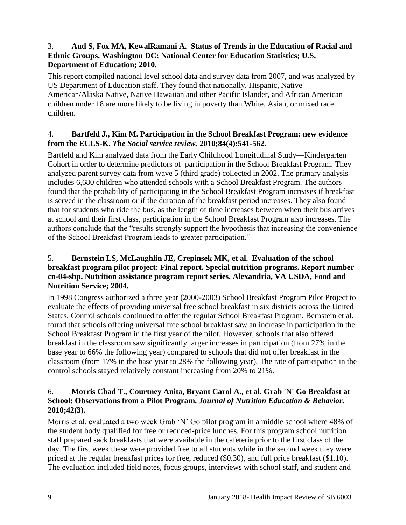# <span id="page-10-1"></span>3. **Aud S, Fox MA, KewalRamani A. Status of Trends in the Education of Racial and Ethnic Groups. Washington DC: National Center for Education Statistics; U.S. Department of Education; 2010.**

This report compiled national level school data and survey data from 2007, and was analyzed by US Department of Education staff. They found that nationally, Hispanic, Native American/Alaska Native, Native Hawaiian and other Pacific Islander, and African American children under 18 are more likely to be living in poverty than White, Asian, or mixed race children.

# <span id="page-10-0"></span>4. **Bartfeld J., Kim M. Participation in the School Breakfast Program: new evidence from the ECLS-K.** *The Social service review.* **2010;84(4):541-562.**

Bartfeld and Kim analyzed data from the Early Childhood Longitudinal Study—Kindergarten Cohort in order to determine predictors of participation in the School Breakfast Program. They analyzed parent survey data from wave 5 (third grade) collected in 2002. The primary analysis includes 6,680 children who attended schools with a School Breakfast Program. The authors found that the probability of participating in the School Breakfast Program increases if breakfast is served in the classroom or if the duration of the breakfast period increases. They also found that for students who ride the bus, as the length of time increases between when their bus arrives at school and their first class, participation in the School Breakfast Program also increases. The authors conclude that the "results strongly support the hypothesis that increasing the convenience of the School Breakfast Program leads to greater participation."

#### 5. **Bernstein LS, McLaughlin JE, Crepinsek MK, et al. Evaluation of the school breakfast program pilot project: Final report. Special nutrition programs. Report number cn-04-sbp. Nutrition assistance program report series. Alexandria, VA USDA, Food and Nutrition Service; 2004.**

In 1998 Congress authorized a three year (2000-2003) School Breakfast Program Pilot Project to evaluate the effects of providing universal free school breakfast in six districts across the United States. Control schools continued to offer the regular School Breakfast Program. Bernstein et al. found that schools offering universal free school breakfast saw an increase in participation in the School Breakfast Program in the first year of the pilot. However, schools that also offered breakfast in the classroom saw significantly larger increases in participation (from 27% in the base year to 66% the following year) compared to schools that did not offer breakfast in the classroom (from 17% in the base year to 28% the following year). The rate of participation in the control schools stayed relatively constant increasing from 20% to 21%.

### 6. **Morris Chad T., Courtney Anita, Bryant Carol A., et al. Grab 'N' Go Breakfast at School: Observations from a Pilot Program.** *Journal of Nutrition Education & Behavior.*  **2010;42(3).**

Morris et al. evaluated a two week Grab 'N' Go pilot program in a middle school where 48% of the student body qualified for free or reduced-price lunches. For this program school nutrition staff prepared sack breakfasts that were available in the cafeteria prior to the first class of the day. The first week these were provided free to all students while in the second week they were priced at the regular breakfast prices for free, reduced (\$0.30), and full price breakfast (\$1.10). The evaluation included field notes, focus groups, interviews with school staff, and student and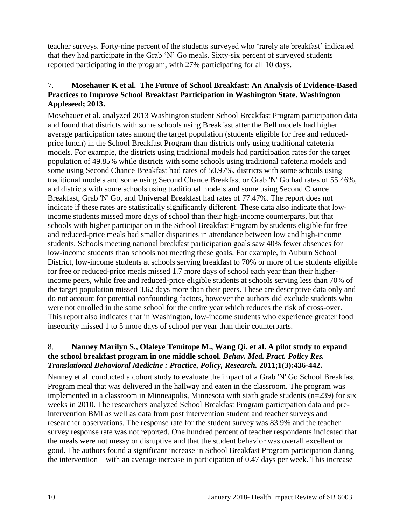teacher surveys. Forty-nine percent of the students surveyed who 'rarely ate breakfast' indicated that they had participate in the Grab 'N' Go meals. Sixty-six percent of surveyed students reported participating in the program, with 27% participating for all 10 days.

# <span id="page-11-0"></span>7. **Mosehauer K et al. The Future of School Breakfast: An Analysis of Evidence-Based Practices to Improve School Breakfast Participation in Washington State. Washington Appleseed; 2013.**

Mosehauer et al. analyzed 2013 Washington student School Breakfast Program participation data and found that districts with some schools using Breakfast after the Bell models had higher average participation rates among the target population (students eligible for free and reducedprice lunch) in the School Breakfast Program than districts only using traditional cafeteria models. For example, the districts using traditional models had participation rates for the target population of 49.85% while districts with some schools using traditional cafeteria models and some using Second Chance Breakfast had rates of 50.97%, districts with some schools using traditional models and some using Second Chance Breakfast or Grab 'N' Go had rates of 55.46%, and districts with some schools using traditional models and some using Second Chance Breakfast, Grab 'N' Go, and Universal Breakfast had rates of 77.47%. The report does not indicate if these rates are statistically significantly different. These data also indicate that lowincome students missed more days of school than their high-income counterparts, but that schools with higher participation in the School Breakfast Program by students eligible for free and reduced-price meals had smaller disparities in attendance between low and high-income students. Schools meeting national breakfast participation goals saw 40% fewer absences for low-income students than schools not meeting these goals. For example, in Auburn School District, low-income students at schools serving breakfast to 70% or more of the students eligible for free or reduced-price meals missed 1.7 more days of school each year than their higherincome peers, while free and reduced-price eligible students at schools serving less than 70% of the target population missed 3.62 days more than their peers. These are descriptive data only and do not account for potential confounding factors, however the authors did exclude students who were not enrolled in the same school for the entire year which reduces the risk of cross-over. This report also indicates that in Washington, low-income students who experience greater food insecurity missed 1 to 5 more days of school per year than their counterparts.

### <span id="page-11-1"></span>8. **Nanney Marilyn S., Olaleye Temitope M., Wang Qi, et al. A pilot study to expand the school breakfast program in one middle school.** *Behav. Med. Pract. Policy Res. Translational Behavioral Medicine : Practice, Policy, Research.* **2011;1(3):436-442.**

Nanney et al. conducted a cohort study to evaluate the impact of a Grab 'N' Go School Breakfast Program meal that was delivered in the hallway and eaten in the classroom. The program was implemented in a classroom in Minneapolis, Minnesota with sixth grade students (n=239) for six weeks in 2010. The researchers analyzed School Breakfast Program participation data and preintervention BMI as well as data from post intervention student and teacher surveys and researcher observations. The response rate for the student survey was 83.9% and the teacher survey response rate was not reported. One hundred percent of teacher respondents indicated that the meals were not messy or disruptive and that the student behavior was overall excellent or good. The authors found a significant increase in School Breakfast Program participation during the intervention—with an average increase in participation of 0.47 days per week. This increase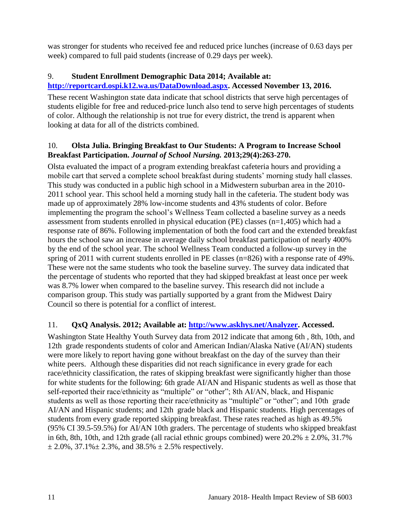was stronger for students who received fee and reduced price lunches (increase of 0.63 days per week) compared to full paid students (increase of 0.29 days per week).

# <span id="page-12-0"></span>9. **Student Enrollment Demographic Data 2014; Available at:**

# **[http://reportcard.ospi.k12.wa.us/DataDownload.aspx.](http://reportcard.ospi.k12.wa.us/DataDownload.aspx) Accessed November 13, 2016.**

These recent Washington state data indicate that school districts that serve high percentages of students eligible for free and reduced-price lunch also tend to serve high percentages of students of color. Although the relationship is not true for every district, the trend is apparent when looking at data for all of the districts combined.

# <span id="page-12-1"></span>10. **Olsta Julia. Bringing Breakfast to Our Students: A Program to Increase School Breakfast Participation.** *Journal of School Nursing.* **2013;29(4):263-270.**

Olsta evaluated the impact of a program extending breakfast cafeteria hours and providing a mobile cart that served a complete school breakfast during students' morning study hall classes. This study was conducted in a public high school in a Midwestern suburban area in the 2010- 2011 school year. This school held a morning study hall in the cafeteria. The student body was made up of approximately 28% low-income students and 43% students of color. Before implementing the program the school's Wellness Team collected a baseline survey as a needs assessment from students enrolled in physical education (PE) classes (n=1,405) which had a response rate of 86%. Following implementation of both the food cart and the extended breakfast hours the school saw an increase in average daily school breakfast participation of nearly 400% by the end of the school year. The school Wellness Team conducted a follow-up survey in the spring of 2011 with current students enrolled in PE classes (n=826) with a response rate of 49%. These were not the same students who took the baseline survey. The survey data indicated that the percentage of students who reported that they had skipped breakfast at least once per week was 8.7% lower when compared to the baseline survey. This research did not include a comparison group. This study was partially supported by a grant from the Midwest Dairy Council so there is potential for a conflict of interest.

# 11. **QxQ Analysis. 2012; Available at: [http://www.askhys.net/Analyzer.](http://www.askhys.net/Analyzer) Accessed.**

Washington State Healthy Youth Survey data from 2012 indicate that among 6th , 8th, 10th, and 12th grade respondents students of color and American Indian/Alaska Native (AI/AN) students were more likely to report having gone without breakfast on the day of the survey than their white peers. Although these disparities did not reach significance in every grade for each race/ethnicity classification, the rates of skipping breakfast were significantly higher than those for white students for the following: 6th grade AI/AN and Hispanic students as well as those that self-reported their race/ethnicity as "multiple" or "other"; 8th AI/AN, black, and Hispanic students as well as those reporting their race/ethnicity as "multiple" or "other"; and 10th grade AI/AN and Hispanic students; and 12th grade black and Hispanic students. High percentages of students from every grade reported skipping breakfast. These rates reached as high as 49.5% (95% CI 39.5-59.5%) for AI/AN 10th graders. The percentage of students who skipped breakfast in 6th, 8th, 10th, and 12th grade (all racial ethnic groups combined) were  $20.2\% \pm 2.0\%$ , 31.7%  $\pm 2.0\%$ , 37.1% $\pm 2.3\%$ , and 38.5%  $\pm 2.5\%$  respectively.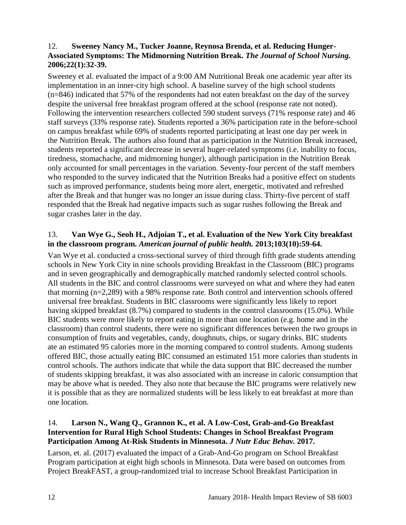### <span id="page-13-0"></span>12. **Sweeney Nancy M., Tucker Joanne, Reynosa Brenda, et al. Reducing Hunger-Associated Symptoms: The Midmorning Nutrition Break.** *The Journal of School Nursing.*  **2006;22(1):32-39.**

Sweeney et al. evaluated the impact of a 9:00 AM Nutritional Break one academic year after its implementation in an inner-city high school. A baseline survey of the high school students (n=846) indicated that 57% of the respondents had not eaten breakfast on the day of the survey despite the universal free breakfast program offered at the school (response rate not noted). Following the intervention researchers collected 590 student surveys (71% response rate) and 46 staff surveys (33% response rate). Students reported a 36% participation rate in the before-school on campus breakfast while 69% of students reported participating at least one day per week in the Nutrition Break. The authors also found that as participation in the Nutrition Break increased, students reported a significant decrease in several huger-related symptoms (i.e. inability to focus, tiredness, stomachache, and midmorning hunger), although participation in the Nutrition Break only accounted for small percentages in the variation. Seventy-four percent of the staff members who responded to the survey indicated that the Nutrition Breaks had a positive effect on students such as improved performance, students being more alert, energetic, motivated and refreshed after the Break and that hunger was no longer an issue during class. Thirty-five percent of staff responded that the Break had negative impacts such as sugar rushes following the Break and sugar crashes later in the day.

# <span id="page-13-1"></span>13. **Van Wye G., Seoh H., Adjoian T., et al. Evaluation of the New York City breakfast in the classroom program.** *American journal of public health.* **2013;103(10):59-64.**

Van Wye et al. conducted a cross-sectional survey of third through fifth grade students attending schools in New York City in nine schools providing Breakfast in the Classroom (BIC) programs and in seven geographically and demographically matched randomly selected control schools. All students in the BIC and control classrooms were surveyed on what and where they had eaten that morning (n=2,289) with a 98% response rate. Both control and intervention schools offered universal free breakfast. Students in BIC classrooms were significantly less likely to report having skipped breakfast (8.7%) compared to students in the control classrooms (15.0%). While BIC students were more likely to report eating in more than one location (e.g. home and in the classroom) than control students, there were no significant differences between the two groups in consumption of fruits and vegetables, candy, doughnuts, chips, or sugary drinks. BIC students ate an estimated 95 calories more in the morning compared to control students. Among students offered BIC, those actually eating BIC consumed an estimated 151 more calories than students in control schools. The authors indicate that while the data support that BIC decreased the number of students skipping breakfast, it was also associated with an increase in caloric consumption that may be above what is needed. They also note that because the BIC programs were relatively new it is possible that as they are normalized students will be less likely to eat breakfast at more than one location.

### <span id="page-13-2"></span>14. **Larson N., Wang Q., Grannon K., et al. A Low-Cost, Grab-and-Go Breakfast Intervention for Rural High School Students: Changes in School Breakfast Program Participation Among At-Risk Students in Minnesota.** *J Nutr Educ Behav.* **2017.**

Larson, et. al. (2017) evaluated the impact of a Grab-And-Go program on School Breakfast Program participation at eight high schools in Minnesota. Data were based on outcomes from Project BreakFAST, a group-randomized trial to increase School Breakfast Participation in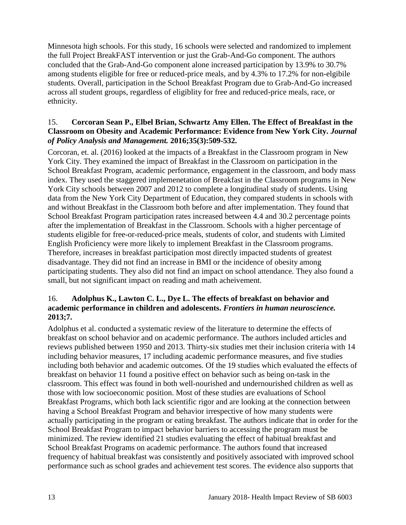Minnesota high schools. For this study, 16 schools were selected and randomized to implement the full Project BreakFAST intervention or just the Grab-And-Go component. The authors concluded that the Grab-And-Go component alone increased participation by 13.9% to 30.7% among students eligible for free or reduced-price meals, and by 4.3% to 17.2% for non-elgibile students. Overall, participation in the School Breakfast Program due to Grab-And-Go increased across all student groups, regardless of eligiblity for free and reduced-price meals, race, or ethnicity.

#### <span id="page-14-1"></span>15. **Corcoran Sean P., Elbel Brian, Schwartz Amy Ellen. The Effect of Breakfast in the Classroom on Obesity and Academic Performance: Evidence from New York City.** *Journal of Policy Analysis and Management.* **2016;35(3):509-532.**

Corcoran, et. al. (2016) looked at the impacts of a Breakfast in the Classroom program in New York City. They examined the impact of Breakfast in the Classroom on participation in the School Breakfast Program, academic performance, engagement in the classroom, and body mass index. They used the staggered implemenetation of Breakfast in the Classroom programs in New York City schools between 2007 and 2012 to complete a longitudinal study of students. Using data from the New York City Department of Education, they compared students in schools with and without Breakfast in the Classroom both before and after implementation. They found that School Breakfast Program participation rates increased between 4.4 and 30.2 percentage points after the implementation of Breakfast in the Classroom. Schools with a higher percentage of students eligible for free-or-reduced-price meals, students of color, and students with Limited English Proficiency were more likely to implement Breakfast in the Classroom programs. Therefore, increases in breakfast participation most directly impacted students of greatest disadvantage. They did not find an increase in BMI or the incidence of obesity among participating students. They also did not find an impact on school attendance. They also found a small, but not significant impact on reading and math acheivement.

#### <span id="page-14-0"></span>16. **Adolphus K., Lawton C. L., Dye L. The effects of breakfast on behavior and academic performance in children and adolescents.** *Frontiers in human neuroscience.*  **2013;7.**

Adolphus et al. conducted a systematic review of the literature to determine the effects of breakfast on school behavior and on academic performance. The authors included articles and reviews published between 1950 and 2013. Thirty-six studies met their inclusion criteria with 14 including behavior measures, 17 including academic performance measures, and five studies including both behavior and academic outcomes. Of the 19 studies which evaluated the effects of breakfast on behavior 11 found a positive effect on behavior such as being on-task in the classroom. This effect was found in both well-nourished and undernourished children as well as those with low socioeconomic position. Most of these studies are evaluations of School Breakfast Programs, which both lack scientific rigor and are looking at the connection between having a School Breakfast Program and behavior irrespective of how many students were actually participating in the program or eating breakfast. The authors indicate that in order for the School Breakfast Program to impact behavior barriers to accessing the program must be minimized. The review identified 21 studies evaluating the effect of habitual breakfast and School Breakfast Programs on academic performance. The authors found that increased frequency of habitual breakfast was consistently and positively associated with improved school performance such as school grades and achievement test scores. The evidence also supports that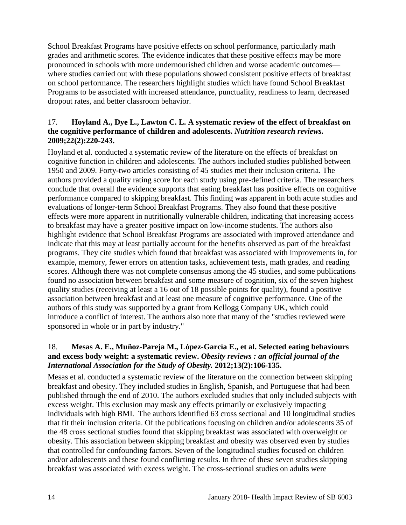School Breakfast Programs have positive effects on school performance, particularly math grades and arithmetic scores. The evidence indicates that these positive effects may be more pronounced in schools with more undernourished children and worse academic outcomes where studies carried out with these populations showed consistent positive effects of breakfast on school performance. The researchers highlight studies which have found School Breakfast Programs to be associated with increased attendance, punctuality, readiness to learn, decreased dropout rates, and better classroom behavior.

#### <span id="page-15-0"></span>17. **Hoyland A., Dye L., Lawton C. L. A systematic review of the effect of breakfast on the cognitive performance of children and adolescents.** *Nutrition research reviews.*  **2009;22(2):220-243.**

Hoyland et al. conducted a systematic review of the literature on the effects of breakfast on cognitive function in children and adolescents. The authors included studies published between 1950 and 2009. Forty-two articles consisting of 45 studies met their inclusion criteria. The authors provided a quality rating score for each study using pre-defined criteria. The researchers conclude that overall the evidence supports that eating breakfast has positive effects on cognitive performance compared to skipping breakfast. This finding was apparent in both acute studies and evaluations of longer-term School Breakfast Programs. They also found that these positive effects were more apparent in nutritionally vulnerable children, indicating that increasing access to breakfast may have a greater positive impact on low-income students. The authors also highlight evidence that School Breakfast Programs are associated with improved attendance and indicate that this may at least partially account for the benefits observed as part of the breakfast programs. They cite studies which found that breakfast was associated with improvements in, for example, memory, fewer errors on attention tasks, achievement tests, math grades, and reading scores. Although there was not complete consensus among the 45 studies, and some publications found no association between breakfast and some measure of cognition, six of the seven highest quality studies (receiving at least a 16 out of 18 possible points for quality), found a positive association between breakfast and at least one measure of cognitive performance. One of the authors of this study was supported by a grant from Kellogg Company UK, which could introduce a conflict of interest. The authors also note that many of the "studies reviewed were sponsored in whole or in part by industry."

### <span id="page-15-1"></span>18. **Mesas A. E., Muñoz-Pareja M., López-García E., et al. Selected eating behaviours and excess body weight: a systematic review.** *Obesity reviews : an official journal of the International Association for the Study of Obesity.* **2012;13(2):106-135.**

Mesas et al. conducted a systematic review of the literature on the connection between skipping breakfast and obesity. They included studies in English, Spanish, and Portuguese that had been published through the end of 2010. The authors excluded studies that only included subjects with excess weight. This exclusion may mask any effects primarily or exclusively impacting individuals with high BMI. The authors identified 63 cross sectional and 10 longitudinal studies that fit their inclusion criteria. Of the publications focusing on children and/or adolescents 35 of the 48 cross sectional studies found that skipping breakfast was associated with overweight or obesity. This association between skipping breakfast and obesity was observed even by studies that controlled for confounding factors. Seven of the longitudinal studies focused on children and/or adolescents and these found conflicting results. In three of these seven studies skipping breakfast was associated with excess weight. The cross-sectional studies on adults were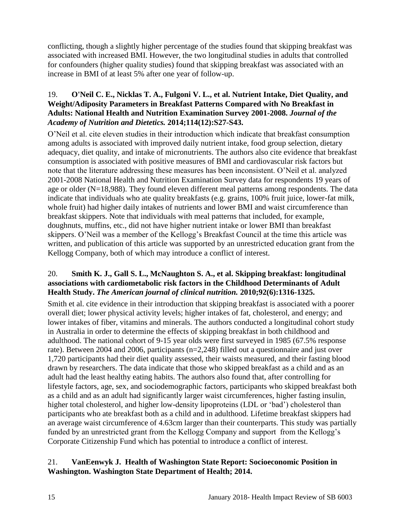conflicting, though a slightly higher percentage of the studies found that skipping breakfast was associated with increased BMI. However, the two longitudinal studies in adults that controlled for confounders (higher quality studies) found that skipping breakfast was associated with an increase in BMI of at least 5% after one year of follow-up.

#### <span id="page-16-1"></span>19. **O'Neil C. E., Nicklas T. A., Fulgoni V. L., et al. Nutrient Intake, Diet Quality, and Weight/Adiposity Parameters in Breakfast Patterns Compared with No Breakfast in Adults: National Health and Nutrition Examination Survey 2001-2008.** *Journal of the Academy of Nutrition and Dietetics.* **2014;114(12):S27-S43.**

O'Neil et al. cite eleven studies in their introduction which indicate that breakfast consumption among adults is associated with improved daily nutrient intake, food group selection, dietary adequacy, diet quality, and intake of micronutrients. The authors also cite evidence that breakfast consumption is associated with positive measures of BMI and cardiovascular risk factors but note that the literature addressing these measures has been inconsistent. O'Neil et al. analyzed 2001-2008 National Health and Nutrition Examination Survey data for respondents 19 years of age or older (N=18,988). They found eleven different meal patterns among respondents. The data indicate that individuals who ate quality breakfasts (e.g. grains, 100% fruit juice, lower-fat milk, whole fruit) had higher daily intakes of nutrients and lower BMI and waist circumference than breakfast skippers. Note that individuals with meal patterns that included, for example, doughnuts, muffins, etc., did not have higher nutrient intake or lower BMI than breakfast skippers. O'Neil was a member of the Kellogg's Breakfast Council at the time this article was written, and publication of this article was supported by an unrestricted education grant from the Kellogg Company, both of which may introduce a conflict of interest.

#### <span id="page-16-2"></span>20. **Smith K. J., Gall S. L., McNaughton S. A., et al. Skipping breakfast: longitudinal associations with cardiometabolic risk factors in the Childhood Determinants of Adult Health Study.** *The American journal of clinical nutrition.* **2010;92(6):1316-1325.**

Smith et al. cite evidence in their introduction that skipping breakfast is associated with a poorer overall diet; lower physical activity levels; higher intakes of fat, cholesterol, and energy; and lower intakes of fiber, vitamins and minerals. The authors conducted a longitudinal cohort study in Australia in order to determine the effects of skipping breakfast in both childhood and adulthood. The national cohort of 9-15 year olds were first surveyed in 1985 (67.5% response rate). Between 2004 and 2006, participants (n=2,248) filled out a questionnaire and just over 1,720 participants had their diet quality assessed, their waists measured, and their fasting blood drawn by researchers. The data indicate that those who skipped breakfast as a child and as an adult had the least healthy eating habits. The authors also found that, after controlling for lifestyle factors, age, sex, and sociodemographic factors, participants who skipped breakfast both as a child and as an adult had significantly larger waist circumferences, higher fasting insulin, higher total cholesterol, and higher low-density lipoproteins (LDL or 'bad') cholesterol than participants who ate breakfast both as a child and in adulthood. Lifetime breakfast skippers had an average waist circumference of 4.63cm larger than their counterparts. This study was partially funded by an unrestricted grant from the Kellogg Company and support from the Kellogg's Corporate Citizenship Fund which has potential to introduce a conflict of interest.

# <span id="page-16-0"></span>21. **VanEenwyk J. Health of Washington State Report: Socioeconomic Position in Washington. Washington State Department of Health; 2014.**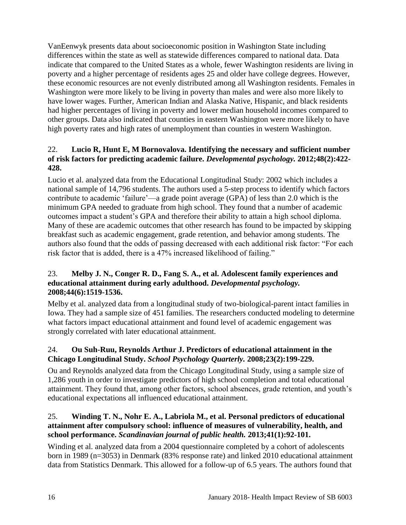VanEenwyk presents data about socioeconomic position in Washington State including differences within the state as well as statewide differences compared to national data. Data indicate that compared to the United States as a whole, fewer Washington residents are living in poverty and a higher percentage of residents ages 25 and older have college degrees. However, these economic resources are not evenly distributed among all Washington residents. Females in Washington were more likely to be living in poverty than males and were also more likely to have lower wages. Further, American Indian and Alaska Native, Hispanic, and black residents had higher percentages of living in poverty and lower median household incomes compared to other groups. Data also indicated that counties in eastern Washington were more likely to have high poverty rates and high rates of unemployment than counties in western Washington.

### 22. **Lucio R, Hunt E, M Bornovalova. Identifying the necessary and sufficient number of risk factors for predicting academic failure.** *Developmental psychology.* **2012;48(2):422- 428.**

Lucio et al. analyzed data from the Educational Longitudinal Study: 2002 which includes a national sample of 14,796 students. The authors used a 5-step process to identify which factors contribute to academic 'failure'—a grade point average (GPA) of less than 2.0 which is the minimum GPA needed to graduate from high school. They found that a number of academic outcomes impact a student's GPA and therefore their ability to attain a high school diploma. Many of these are academic outcomes that other research has found to be impacted by skipping breakfast such as academic engagement, grade retention, and behavior among students. The authors also found that the odds of passing decreased with each additional risk factor: "For each risk factor that is added, there is a 47% increased likelihood of failing."

#### 23. **Melby J. N., Conger R. D., Fang S. A., et al. Adolescent family experiences and educational attainment during early adulthood.** *Developmental psychology.*  **2008;44(6):1519-1536.**

Melby et al. analyzed data from a longitudinal study of two-biological-parent intact families in Iowa. They had a sample size of 451 families. The researchers conducted modeling to determine what factors impact educational attainment and found level of academic engagement was strongly correlated with later educational attainment.

# 24. **Ou Suh-Ruu, Reynolds Arthur J. Predictors of educational attainment in the Chicago Longitudinal Study.** *School Psychology Quarterly.* **2008;23(2):199-229.**

Ou and Reynolds analyzed data from the Chicago Longitudinal Study, using a sample size of 1,286 youth in order to investigate predictors of high school completion and total educational attainment. They found that, among other factors, school absences, grade retention, and youth's educational expectations all influenced educational attainment.

# 25. **Winding T. N., Nohr E. A., Labriola M., et al. Personal predictors of educational attainment after compulsory school: influence of measures of vulnerability, health, and school performance.** *Scandinavian journal of public health.* **2013;41(1):92-101.**

Winding et al. analyzed data from a 2004 questionnaire completed by a cohort of adolescents born in 1989 (n=3053) in Denmark (83% response rate) and linked 2010 educational attainment data from Statistics Denmark. This allowed for a follow-up of 6.5 years. The authors found that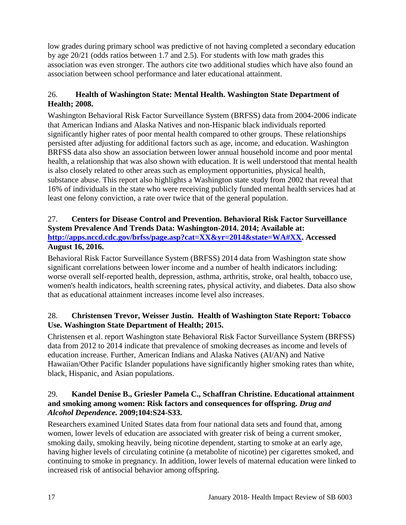low grades during primary school was predictive of not having completed a secondary education by age 20/21 (odds ratios between 1.7 and 2.5). For students with low math grades this association was even stronger. The authors cite two additional studies which have also found an association between school performance and later educational attainment.

# <span id="page-18-1"></span>26. **Health of Washington State: Mental Health. Washington State Department of Health; 2008.**

Washington Behavioral Risk Factor Surveillance System (BRFSS) data from 2004-2006 indicate that American Indians and Alaska Natives and non-Hispanic black individuals reported significantly higher rates of poor mental health compared to other groups. These relationships persisted after adjusting for additional factors such as age, income, and education. Washington BRFSS data also show an association between lower annual household income and poor mental health, a relationship that was also shown with education. It is well understood that mental health is also closely related to other areas such as employment opportunities, physical health, substance abuse. This report also highlights a Washington state study from 2002 that reveal that 16% of individuals in the state who were receiving publicly funded mental health services had at least one felony conviction, a rate over twice that of the general population.

# <span id="page-18-0"></span>27. **Centers for Disease Control and Prevention. Behavioral Risk Factor Surveillance System Prevalence And Trends Data: Washington-2014. 2014; Available at: [http://apps.nccd.cdc.gov/brfss/page.asp?cat=XX&yr=2014&state=WA#XX.](http://apps.nccd.cdc.gov/brfss/page.asp?cat=XX&yr=2014&state=WA#XX) Accessed August 16, 2016.**

Behavioral Risk Factor Surveillance System (BRFSS) 2014 data from Washington state show significant correlations between lower income and a number of health indicators including: worse overall self-reported health, depression, asthma, arthritis, stroke, oral health, tobacco use, women's health indicators, health screening rates, physical activity, and diabetes. Data also show that as educational attainment increases income level also increases.

# <span id="page-18-2"></span>28. **Christensen Trevor, Weisser Justin. Health of Washington State Report: Tobacco Use. Washington State Department of Health; 2015.**

Christensen et al. report Washington state Behavioral Risk Factor Surveillance System (BRFSS) data from 2012 to 2014 indicate that prevalence of smoking decreases as income and levels of education increase. Further, American Indians and Alaska Natives (AI/AN) and Native Hawaiian/Other Pacific Islander populations have significantly higher smoking rates than white, black, Hispanic, and Asian populations.

### 29. **Kandel Denise B., Griesler Pamela C., Schaffran Christine. Educational attainment and smoking among women: Risk factors and consequences for offspring.** *Drug and Alcohol Dependence.* **2009;104:S24-S33.**

Researchers examined United States data from four national data sets and found that, among women, lower levels of education are associated with greater risk of being a current smoker, smoking daily, smoking heavily, being nicotine dependent, starting to smoke at an early age, having higher levels of circulating cotinine (a metabolite of nicotine) per cigarettes smoked, and continuing to smoke in pregnancy. In addition, lower levels of maternal education were linked to increased risk of antisocial behavior among offspring.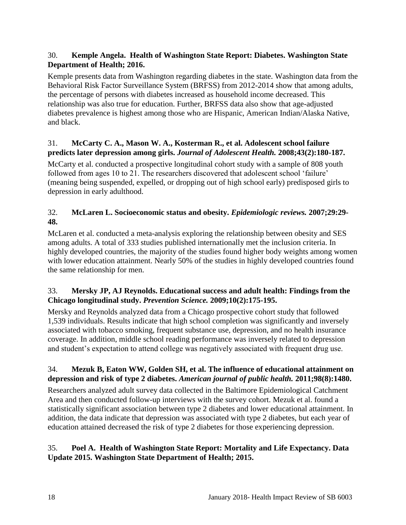# <span id="page-19-0"></span>30. **Kemple Angela. Health of Washington State Report: Diabetes. Washington State Department of Health; 2016.**

Kemple presents data from Washington regarding diabetes in the state. Washington data from the Behavioral Risk Factor Surveillance System (BRFSS) from 2012-2014 show that among adults, the percentage of persons with diabetes increased as household income decreased. This relationship was also true for education. Further, BRFSS data also show that age-adjusted diabetes prevalence is highest among those who are Hispanic, American Indian/Alaska Native, and black.

# 31. **McCarty C. A., Mason W. A., Kosterman R., et al. Adolescent school failure predicts later depression among girls.** *Journal of Adolescent Health.* **2008;43(2):180-187.**

McCarty et al. conducted a prospective longitudinal cohort study with a sample of 808 youth followed from ages 10 to 21. The researchers discovered that adolescent school 'failure' (meaning being suspended, expelled, or dropping out of high school early) predisposed girls to depression in early adulthood.

# 32. **McLaren L. Socioeconomic status and obesity.** *Epidemiologic reviews.* **2007;29:29- 48.**

McLaren et al. conducted a meta-analysis exploring the relationship between obesity and SES among adults. A total of 333 studies published internationally met the inclusion criteria. In highly developed countries, the majority of the studies found higher body weights among women with lower education attainment. Nearly 50% of the studies in highly developed countries found the same relationship for men.

# 33. **Mersky JP, AJ Reynolds. Educational success and adult health: Findings from the Chicago longitudinal study.** *Prevention Science.* **2009;10(2):175-195.**

Mersky and Reynolds analyzed data from a Chicago prospective cohort study that followed 1,539 individuals. Results indicate that high school completion was significantly and inversely associated with tobacco smoking, frequent substance use, depression, and no health insurance coverage. In addition, middle school reading performance was inversely related to depression and student's expectation to attend college was negatively associated with frequent drug use.

# 34. **Mezuk B, Eaton WW, Golden SH, et al. The influence of educational attainment on depression and risk of type 2 diabetes.** *American journal of public health.* **2011;98(8):1480.**

Researchers analyzed adult survey data collected in the Baltimore Epidemiological Catchment Area and then conducted follow-up interviews with the survey cohort. Mezuk et al. found a statistically significant association between type 2 diabetes and lower educational attainment. In addition, the data indicate that depression was associated with type 2 diabetes, but each year of education attained decreased the risk of type 2 diabetes for those experiencing depression.

# <span id="page-19-1"></span>35. **Poel A. Health of Washington State Report: Mortality and Life Expectancy. Data Update 2015. Washington State Department of Health; 2015.**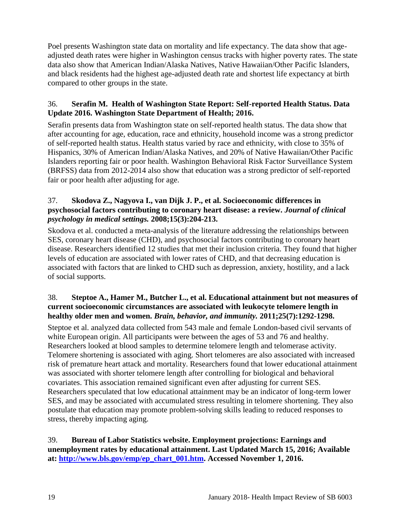Poel presents Washington state data on mortality and life expectancy. The data show that ageadjusted death rates were higher in Washington census tracks with higher poverty rates. The state data also show that American Indian/Alaska Natives, Native Hawaiian/Other Pacific Islanders, and black residents had the highest age-adjusted death rate and shortest life expectancy at birth compared to other groups in the state.

# <span id="page-20-1"></span>36. **Serafin M. Health of Washington State Report: Self-reported Health Status. Data Update 2016. Washington State Department of Health; 2016.**

Serafin presents data from Washington state on self-reported health status. The data show that after accounting for age, education, race and ethnicity, household income was a strong predictor of self-reported health status. Health status varied by race and ethnicity, with close to 35% of Hispanics, 30% of American Indian/Alaska Natives, and 20% of Native Hawaiian/Other Pacific Islanders reporting fair or poor health. Washington Behavioral Risk Factor Surveillance System (BRFSS) data from 2012-2014 also show that education was a strong predictor of self-reported fair or poor health after adjusting for age.

### 37. **Skodova Z., Nagyova I., van Dijk J. P., et al. Socioeconomic differences in psychosocial factors contributing to coronary heart disease: a review.** *Journal of clinical psychology in medical settings.* **2008;15(3):204-213.**

Skodova et al. conducted a meta-analysis of the literature addressing the relationships between SES, coronary heart disease (CHD), and psychosocial factors contributing to coronary heart disease. Researchers identified 12 studies that met their inclusion criteria. They found that higher levels of education are associated with lower rates of CHD, and that decreasing education is associated with factors that are linked to CHD such as depression, anxiety, hostility, and a lack of social supports.

# 38. **Steptoe A., Hamer M., Butcher L., et al. Educational attainment but not measures of current socioeconomic circumstances are associated with leukocyte telomere length in healthy older men and women.** *Brain, behavior, and immunity.* **2011;25(7):1292-1298.**

Steptoe et al. analyzed data collected from 543 male and female London-based civil servants of white European origin. All participants were between the ages of 53 and 76 and healthy. Researchers looked at blood samples to determine telomere length and telomerase activity. Telomere shortening is associated with aging. Short telomeres are also associated with increased risk of premature heart attack and mortality. Researchers found that lower educational attainment was associated with shorter telomere length after controlling for biological and behavioral covariates. This association remained significant even after adjusting for current SES. Researchers speculated that low educational attainment may be an indicator of long-term lower SES, and may be associated with accumulated stress resulting in telomere shortening. They also postulate that education may promote problem-solving skills leading to reduced responses to stress, thereby impacting aging.

<span id="page-20-0"></span>39. **Bureau of Labor Statistics website. Employment projections: Earnings and unemployment rates by educational attainment. Last Updated March 15, 2016; Available at: [http://www.bls.gov/emp/ep\\_chart\\_001.htm.](http://www.bls.gov/emp/ep_chart_001.htm) Accessed November 1, 2016.**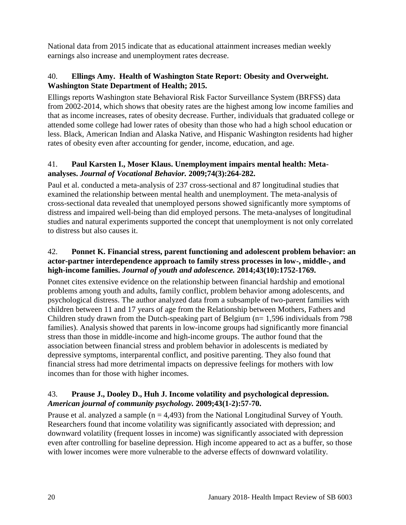National data from 2015 indicate that as educational attainment increases median weekly earnings also increase and unemployment rates decrease.

# <span id="page-21-0"></span>40. **Ellings Amy. Health of Washington State Report: Obesity and Overweight. Washington State Department of Health; 2015.**

Ellings reports Washington state Behavioral Risk Factor Surveillance System (BRFSS) data from 2002-2014, which shows that obesity rates are the highest among low income families and that as income increases, rates of obesity decrease. Further, individuals that graduated college or attended some college had lower rates of obesity than those who had a high school education or less. Black, American Indian and Alaska Native, and Hispanic Washington residents had higher rates of obesity even after accounting for gender, income, education, and age.

# 41. **Paul Karsten I., Moser Klaus. Unemployment impairs mental health: Metaanalyses.** *Journal of Vocational Behavior.* **2009;74(3):264-282.**

Paul et al. conducted a meta-analysis of 237 cross-sectional and 87 longitudinal studies that examined the relationship between mental health and unemployment. The meta-analysis of cross-sectional data revealed that unemployed persons showed significantly more symptoms of distress and impaired well-being than did employed persons. The meta-analyses of longitudinal studies and natural experiments supported the concept that unemployment is not only correlated to distress but also causes it.

# 42. **Ponnet K. Financial stress, parent functioning and adolescent problem behavior: an actor-partner interdependence approach to family stress processes in low-, middle-, and high-income families.** *Journal of youth and adolescence.* **2014;43(10):1752-1769.**

Ponnet cites extensive evidence on the relationship between financial hardship and emotional problems among youth and adults, family conflict, problem behavior among adolescents, and psychological distress. The author analyzed data from a subsample of two-parent families with children between 11 and 17 years of age from the Relationship between Mothers, Fathers and Children study drawn from the Dutch-speaking part of Belgium ( $n= 1,596$  individuals from 798 families). Analysis showed that parents in low-income groups had significantly more financial stress than those in middle-income and high-income groups. The author found that the association between financial stress and problem behavior in adolescents is mediated by depressive symptoms, interparental conflict, and positive parenting. They also found that financial stress had more detrimental impacts on depressive feelings for mothers with low incomes than for those with higher incomes.

# <span id="page-21-1"></span>43. **Prause J., Dooley D., Huh J. Income volatility and psychological depression.**  *American journal of community psychology.* **2009;43(1-2):57-70.**

Prause et al. analyzed a sample ( $n = 4,493$ ) from the National Longitudinal Survey of Youth. Researchers found that income volatility was significantly associated with depression; and downward volatility (frequent losses in income) was significantly associated with depression even after controlling for baseline depression. High income appeared to act as a buffer, so those with lower incomes were more vulnerable to the adverse effects of downward volatility.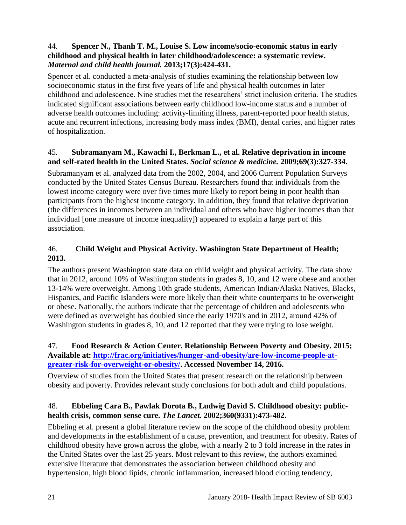### 44. **Spencer N., Thanh T. M., Louise S. Low income/socio-economic status in early childhood and physical health in later childhood/adolescence: a systematic review.**  *Maternal and child health journal.* **2013;17(3):424-431.**

Spencer et al. conducted a meta-analysis of studies examining the relationship between low socioeconomic status in the first five years of life and physical health outcomes in later childhood and adolescence. Nine studies met the researchers' strict inclusion criteria. The studies indicated significant associations between early childhood low-income status and a number of adverse health outcomes including: activity-limiting illness, parent-reported poor health status, acute and recurrent infections, increasing body mass index (BMI), dental caries, and higher rates of hospitalization.

#### <span id="page-22-1"></span>45. **Subramanyam M., Kawachi I., Berkman L., et al. Relative deprivation in income and self-rated health in the United States.** *Social science & medicine.* **2009;69(3):327-334.**

Subramanyam et al. analyzed data from the 2002, 2004, and 2006 Current Population Surveys conducted by the United States Census Bureau. Researchers found that individuals from the lowest income category were over five times more likely to report being in poor health than participants from the highest income category. In addition, they found that relative deprivation (the differences in incomes between an individual and others who have higher incomes than that individual [one measure of income inequality]) appeared to explain a large part of this association.

# <span id="page-22-0"></span>46. **Child Weight and Physical Activity. Washington State Department of Health; 2013.**

The authors present Washington state data on child weight and physical activity. The data show that in 2012, around 10% of Washington students in grades 8, 10, and 12 were obese and another 13-14% were overweight. Among 10th grade students, American Indian/Alaska Natives, Blacks, Hispanics, and Pacific Islanders were more likely than their white counterparts to be overweight or obese. Nationally, the authors indicate that the percentage of children and adolescents who were defined as overweight has doubled since the early 1970's and in 2012, around 42% of Washington students in grades 8, 10, and 12 reported that they were trying to lose weight.

# 47. **Food Research & Action Center. Relationship Between Poverty and Obesity. 2015; Available at: [http://frac.org/initiatives/hunger-and-obesity/are-low-income-people-at](http://frac.org/initiatives/hunger-and-obesity/are-low-income-people-at-greater-risk-for-overweight-or-obesity/)[greater-risk-for-overweight-or-obesity/.](http://frac.org/initiatives/hunger-and-obesity/are-low-income-people-at-greater-risk-for-overweight-or-obesity/) Accessed November 14, 2016.**

Overview of studies from the United States that present research on the relationship between obesity and poverty. Provides relevant study conclusions for both adult and child populations.

# 48. **Ebbeling Cara B., Pawlak Dorota B., Ludwig David S. Childhood obesity: publichealth crisis, common sense cure.** *The Lancet.* **2002;360(9331):473-482.**

Ebbeling et al. present a global literature review on the scope of the childhood obesity problem and developments in the establishment of a cause, prevention, and treatment for obesity. Rates of childhood obesity have grown across the globe, with a nearly 2 to 3 fold increase in the rates in the United States over the last 25 years. Most relevant to this review, the authors examined extensive literature that demonstrates the association between childhood obesity and hypertension, high blood lipids, chronic inflammation, increased blood clotting tendency,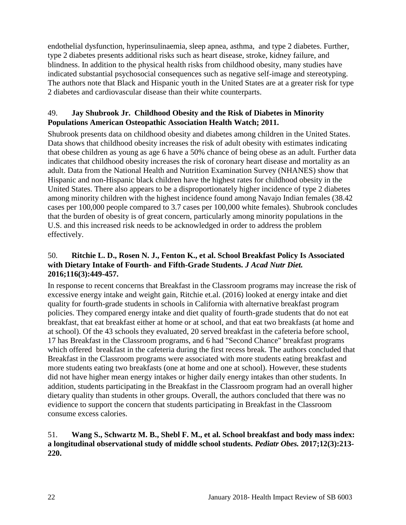endothelial dysfunction, hyperinsulinaemia, sleep apnea, asthma, and type 2 diabetes. Further, type 2 diabetes presents additional risks such as heart disease, stroke, kidney failure, and blindness. In addition to the physical health risks from childhood obesity, many studies have indicated substantial psychosocial consequences such as negative self-image and stereotyping. The authors note that Black and Hispanic youth in the United States are at a greater risk for type 2 diabetes and cardiovascular disease than their white counterparts.

#### 49. **Jay Shubrook Jr. Childhood Obesity and the Risk of Diabetes in Minority Populations American Osteopathic Association Health Watch; 2011.**

Shubrook presents data on childhood obesity and diabetes among children in the United States. Data shows that childhood obesity increases the risk of adult obesity with estimates indicating that obese children as young as age 6 have a 50% chance of being obese as an adult. Further data indicates that childhood obesity increases the risk of coronary heart disease and mortality as an adult. Data from the National Health and Nutrition Examination Survey (NHANES) show that Hispanic and non-Hispanic black children have the highest rates for childhood obesity in the United States. There also appears to be a disproportionately higher incidence of type 2 diabetes among minority children with the highest incidence found among Navajo Indian females (38.42 cases per 100,000 people compared to 3.7 cases per 100,000 white females). Shubrook concludes that the burden of obesity is of great concern, particularly among minority populations in the U.S. and this increased risk needs to be acknowledged in order to address the problem effectively.

### <span id="page-23-0"></span>50. **Ritchie L. D., Rosen N. J., Fenton K., et al. School Breakfast Policy Is Associated with Dietary Intake of Fourth- and Fifth-Grade Students.** *J Acad Nutr Diet.*  **2016;116(3):449-457.**

In response to recent concerns that Breakfast in the Classroom programs may increase the risk of excessive energy intake and weight gain, Ritchie et.al. (2016) looked at energy intake and diet quality for fourth-grade students in schools in California with alternative breakfast program policies. They compared energy intake and diet quality of fourth-grade students that do not eat breakfast, that eat breakfast either at home or at school, and that eat two breakfasts (at home and at school). Of the 43 schools they evaluated, 20 served breakfast in the cafeteria before school, 17 has Breakfast in the Classroom programs, and 6 had "Second Chance" breakfast programs which offered breakfast in the cafeteria during the first recess break. The authors concluded that Breakfast in the Classroom programs were associated with more students eating breakfast and more students eating two breakfasts (one at home and one at school). However, these students did not have higher mean energy intakes or higher daily energy intakes than other students. In addition, students participating in the Breakfast in the Classroom program had an overall higher dietary quality than students in other groups. Overall, the authors concluded that there was no evidience to support the concern that students participating in Breakfast in the Classroom consume excess calories.

#### <span id="page-23-1"></span>51. **Wang S., Schwartz M. B., Shebl F. M., et al. School breakfast and body mass index: a longitudinal observational study of middle school students.** *Pediatr Obes.* **2017;12(3):213- 220.**